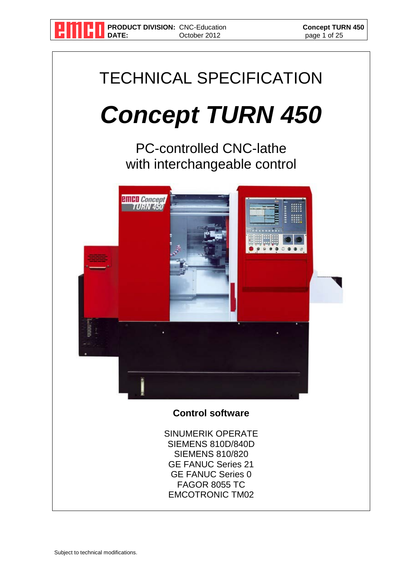

**PRODUCT DIVISION:** CNC-Education **Concept TURN 450**<br>
DATE: October 2012 **CONCEPT PERMILLIPS** page 1 of 25 **October 2012** 

# TECHNICAL SPECIFICATION

## *Concept TURN 450*

PC-controlled CNC-lathe with interchangeable control



#### **Control software**

SINUMERIK OPERATE SIEMENS 810D/840D SIEMENS 810/820 GE FANUC Series 21 GE FANUC Series 0 FAGOR 8055 TC EMCOTRONIC TM02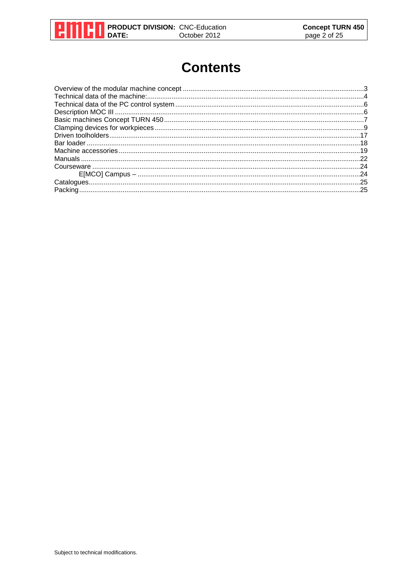

#### **Contents**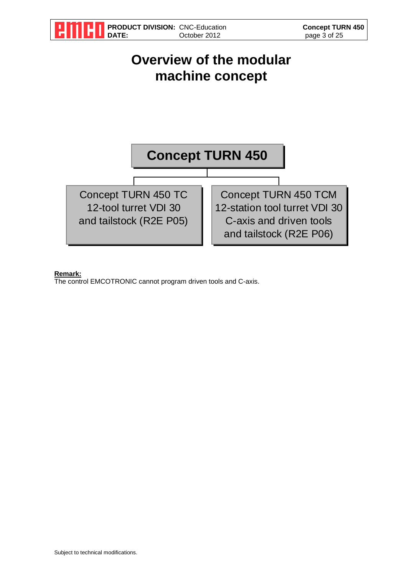

#### **Remark:**

The control EMCOTRONIC cannot program driven tools and C-axis.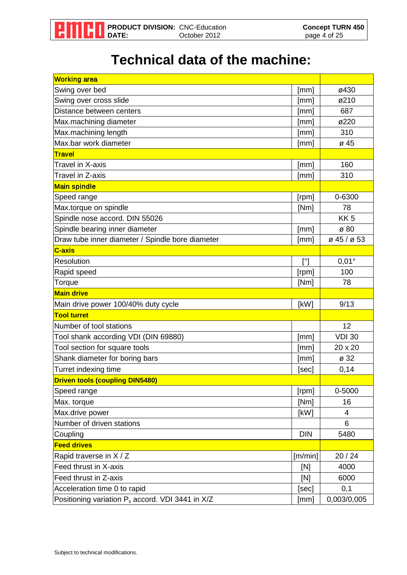

#### **Technical data of the machine:**

| <b>Working area</b>                                          |              |                 |
|--------------------------------------------------------------|--------------|-----------------|
| Swing over bed                                               | [mm]         | ø430            |
| Swing over cross slide                                       | [mm]         | ø210            |
| Distance between centers                                     | [mm]         | 687             |
| Max.machining diameter                                       | [mm]         | ø220            |
| Max.machining length                                         | [mm]         | 310             |
| Max.bar work diameter                                        | [mm]         | ø 45            |
| <b>Travel</b>                                                |              |                 |
| Travel in X-axis                                             | [mm]         | 160             |
| Travel in Z-axis                                             | [mm]         | 310             |
| <b>Main spindle</b>                                          |              |                 |
| Speed range                                                  | [rpm]        | 0-6300          |
| Max.torque on spindle                                        | [Nm]         | 78              |
| Spindle nose accord. DIN 55026                               |              | KK <sub>5</sub> |
| Spindle bearing inner diameter                               | [mm]         | ø 80            |
| Draw tube inner diameter / Spindle bore diameter             | [mm]         | ø 45 / ø 53     |
| C-axis                                                       |              |                 |
| Resolution                                                   | $[^{\circ}]$ | $0,01^\circ$    |
| Rapid speed                                                  | [rpm]        | 100             |
| Torque                                                       | [Nm]         | 78              |
| <b>Main drive</b>                                            |              |                 |
| Main drive power 100/40% duty cycle                          | [kW]         | 9/13            |
| <b>Tool turret</b>                                           |              |                 |
| Number of tool stations                                      |              | 12              |
| Tool shank according VDI (DIN 69880)                         | [mm]         | <b>VDI 30</b>   |
| Tool section for square tools                                | [mm]         | 20 x 20         |
| Shank diameter for boring bars                               | [mm]         | ø 32            |
| Turret indexing time                                         | [sec]        | 0,14            |
| <b>Driven tools (coupling DIN5480)</b>                       |              |                 |
| Speed range                                                  | [rpm]        | 0-5000          |
| Max. torque                                                  | [Nm]         | 16              |
| Max.drive power                                              | [kW]         | 4               |
| Number of driven stations                                    |              | 6               |
| Coupling                                                     | <b>DIN</b>   | 5480            |
| <b>Feed drives</b>                                           |              |                 |
| Rapid traverse in X / Z                                      | [m/min]      | 20 / 24         |
| Feed thrust in X-axis                                        | [N]          | 4000            |
| Feed thrust in Z-axis                                        | [N]          | 6000            |
| Acceleration time 0 to rapid                                 | [sec]        | 0,1             |
| Positioning variation P <sub>s</sub> accord. VDI 3441 in X/Z | [mm]         | 0,003/0,005     |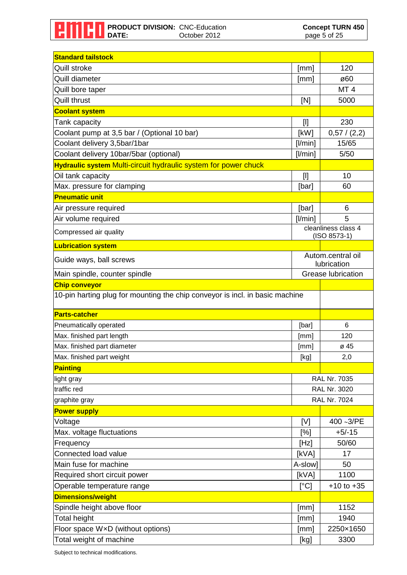| <b>Standard tailstock</b>                                                                            |         |                                          |  |
|------------------------------------------------------------------------------------------------------|---------|------------------------------------------|--|
| <b>Quill stroke</b>                                                                                  | [mm]    | 120                                      |  |
| Quill diameter                                                                                       | [mm]    | ø60                                      |  |
| Quill bore taper                                                                                     |         | MT <sub>4</sub>                          |  |
| <b>Quill thrust</b>                                                                                  | [N]     | 5000                                     |  |
| <b>Coolant system</b>                                                                                |         |                                          |  |
| Tank capacity                                                                                        | $[]$    | 230                                      |  |
| Coolant pump at 3,5 bar / (Optional 10 bar)                                                          | [kW]    | 0,57/(2,2)                               |  |
| Coolant delivery 3,5bar/1bar                                                                         | [1/min] | 15/65                                    |  |
| Coolant delivery 10bar/5bar (optional)                                                               | [l/min] | 5/50                                     |  |
| <b>Hydraulic system Multi-circuit hydraulic system for power chuck</b>                               |         |                                          |  |
| Oil tank capacity                                                                                    | $[]$    | 10                                       |  |
| Max. pressure for clamping                                                                           | [bar]   | 60                                       |  |
| <b>Pneumatic unit</b>                                                                                |         |                                          |  |
| Air pressure required                                                                                | [bar]   | 6                                        |  |
| Air volume required                                                                                  | [ /min] | 5                                        |  |
| Compressed air quality                                                                               |         | cleanliness class 4<br>$(ISO 8573-1)$    |  |
| <b>Lubrication system</b>                                                                            |         |                                          |  |
| Guide ways, ball screws                                                                              |         | Autom.central oil                        |  |
|                                                                                                      |         | lubrication<br><b>Grease lubrication</b> |  |
| Main spindle, counter spindle                                                                        |         |                                          |  |
| <b>Chip conveyor</b><br>10-pin harting plug for mounting the chip conveyor is incl. in basic machine |         |                                          |  |
|                                                                                                      |         |                                          |  |
| <b>Parts-catcher</b>                                                                                 |         |                                          |  |
| Pneumatically operated                                                                               | [bar]   | 6                                        |  |
| Max. finished part length                                                                            | [mm]    | 120                                      |  |
| Max. finished part diameter                                                                          | [mm]    | ø 45                                     |  |
| Max. finished part weight                                                                            | [kg]    | 2,0                                      |  |
| <b>Painting</b>                                                                                      |         |                                          |  |
| light gray                                                                                           |         | <b>RAL Nr. 7035</b>                      |  |
| traffic red                                                                                          |         | <b>RAL Nr. 3020</b>                      |  |
| graphite gray                                                                                        |         | <b>RAL Nr. 7024</b>                      |  |
| <b>Power supply</b>                                                                                  |         |                                          |  |
| Voltage                                                                                              | [V]     | 400~3/PE                                 |  |
| Max. voltage fluctuations                                                                            | [%]     | $+5/-15$                                 |  |
| Frequency                                                                                            | [Hz]    | 50/60                                    |  |
| Connected load value                                                                                 | [kVA]   | 17                                       |  |
| Main fuse for machine                                                                                | A-slow] | 50                                       |  |
| Required short circuit power                                                                         | [KVA]   | 1100                                     |  |
| Operable temperature range                                                                           | [°C]    | $+10$ to $+35$                           |  |
| Dimensions/weight                                                                                    |         |                                          |  |
| Spindle height above floor                                                                           | [mm]    | 1152                                     |  |
| <b>Total height</b>                                                                                  | [mm]    | 1940                                     |  |
| Floor space WxD (without options)                                                                    | [mm]    | 2250×1650                                |  |
| Total weight of machine                                                                              | [kg]    | 3300                                     |  |

Subject to technical modifications.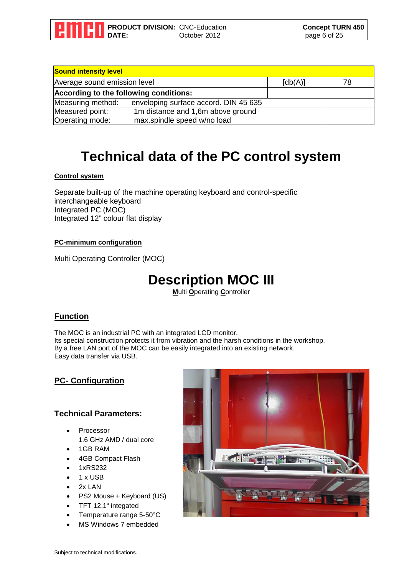

| <b>Sound intensity level</b>           |                                       |                       |    |
|----------------------------------------|---------------------------------------|-----------------------|----|
| Average sound emission level           |                                       | $\lceil db(A) \rceil$ | 78 |
| According to the following conditions: |                                       |                       |    |
| Measuring method:                      | enveloping surface accord. DIN 45 635 |                       |    |
| Measured point:                        | 1m distance and 1,6m above ground     |                       |    |
| Operating mode:                        | max.spindle speed w/no load           |                       |    |

#### **Technical data of the PC control system**

#### **Control system**

Separate built-up of the machine operating keyboard and control-specific interchangeable keyboard Integrated PC (MOC) Integrated 12" colour flat display

#### **PC-minimum configuration**

Multi Operating Controller (MOC)

#### **Description MOC III**

**M**ulti **O**perating **C**ontroller

#### **Function**

The MOC is an industrial PC with an integrated LCD monitor. Its special construction protects it from vibration and the harsh conditions in the workshop. By a free LAN port of the MOC can be easily integrated into an existing network. Easy data transfer via USB.

#### **PC- Configuration**

#### **Technical Parameters:**

- **Processor** 1.6 GHz AMD / dual core
- 1GB RAM
- 4GB Compact Flash
- 1xRS232
- 1 x USB
- 2x LAN
- PS2 Mouse + Keyboard (US)
- TFT 12,1" integated
- Temperature range 5-50°C
- MS Windows 7 embedded

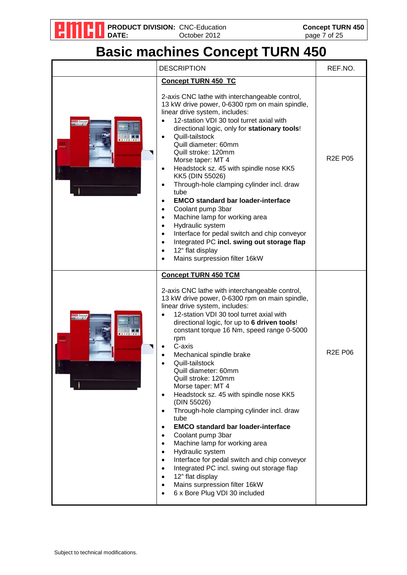

### **Basic machines Concept TURN 450**

|                            | <b>DESCRIPTION</b>                                                                                                                                                                                                                                                                                                                                                                                                                                                                                                                                                                                                                                                                                                                                                                                                                                                                                                                                                                                                     | REF.NO.        |
|----------------------------|------------------------------------------------------------------------------------------------------------------------------------------------------------------------------------------------------------------------------------------------------------------------------------------------------------------------------------------------------------------------------------------------------------------------------------------------------------------------------------------------------------------------------------------------------------------------------------------------------------------------------------------------------------------------------------------------------------------------------------------------------------------------------------------------------------------------------------------------------------------------------------------------------------------------------------------------------------------------------------------------------------------------|----------------|
| <b>ICO</b> Conce<br>TUGUES | <b>Concept TURN 450 TC</b><br>2-axis CNC lathe with interchangeable control,<br>13 kW drive power, 0-6300 rpm on main spindle,<br>linear drive system, includes:<br>12-station VDI 30 tool turret axial with<br>$\bullet$<br>directional logic, only for stationary tools!<br>Quill-tailstock<br>$\bullet$<br>Quill diameter: 60mm<br>Quill stroke: 120mm<br>Morse taper: MT 4<br>Headstock sz. 45 with spindle nose KK5<br>$\bullet$<br>KK5 (DIN 55026)<br>Through-hole clamping cylinder incl. draw<br>$\bullet$<br>tube<br><b>EMCO standard bar loader-interface</b><br>$\bullet$<br>Coolant pump 3bar<br>$\bullet$<br>Machine lamp for working area<br>$\bullet$<br>Hydraulic system<br>$\bullet$<br>Interface for pedal switch and chip conveyor<br>$\bullet$<br>Integrated PC incl. swing out storage flap<br>$\bullet$<br>12" flat display<br>$\bullet$<br>Mains surpression filter 16kW<br>$\bullet$                                                                                                           | <b>R2E P05</b> |
| <b>ICO</b> Come            | <b>Concept TURN 450 TCM</b><br>2-axis CNC lathe with interchangeable control,<br>13 kW drive power, 0-6300 rpm on main spindle,<br>linear drive system, includes:<br>12-station VDI 30 tool turret axial with<br>directional logic, for up to 6 driven tools!<br>constant torque 16 Nm, speed range 0-5000<br>rpm<br>C-axis<br>Mechanical spindle brake<br>Quill-tailstock<br>Quill diameter: 60mm<br>Quill stroke: 120mm<br>Morse taper: MT 4<br>Headstock sz. 45 with spindle nose KK5<br>$\bullet$<br>(DIN 55026)<br>Through-hole clamping cylinder incl. draw<br>$\bullet$<br>tube<br><b>EMCO</b> standard bar loader-interface<br>$\bullet$<br>Coolant pump 3bar<br>$\bullet$<br>Machine lamp for working area<br>$\bullet$<br>Hydraulic system<br>$\bullet$<br>Interface for pedal switch and chip conveyor<br>$\bullet$<br>Integrated PC incl. swing out storage flap<br>$\bullet$<br>12" flat display<br>$\bullet$<br>Mains surpression filter 16kW<br>$\bullet$<br>6 x Bore Plug VDI 30 included<br>$\bullet$ | <b>R2E P06</b> |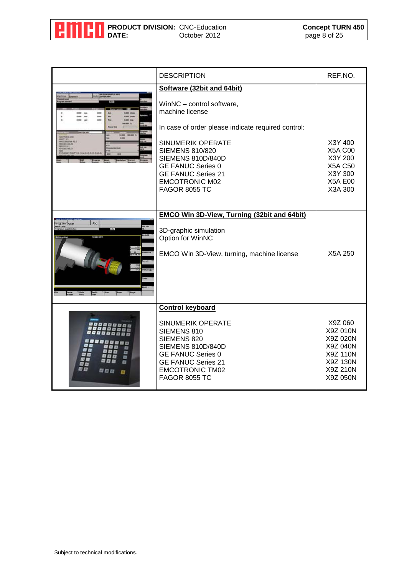

|     | <b>DESCRIPTION</b>                                                                                                                                                                                                                                                                                                                                                   | REF.NO.                                                                                        |
|-----|----------------------------------------------------------------------------------------------------------------------------------------------------------------------------------------------------------------------------------------------------------------------------------------------------------------------------------------------------------------------|------------------------------------------------------------------------------------------------|
| Jog | Software (32bit and 64bit)<br>WinNC - control software,<br>machine license<br>In case of order please indicate required control:<br><b>SINUMERIK OPERATE</b><br><b>SIEMENS 810/820</b><br>SIEMENS 810D/840D<br><b>GE FANUC Series 0</b><br><b>GE FANUC Series 21</b><br><b>EMCOTRONIC M02</b><br><b>FAGOR 8055 TC</b><br>EMCO Win 3D-View, Turning (32bit and 64bit) | X3Y 400<br><b>X5A C00</b><br>X3Y 200<br><b>X5A C50</b><br>X3Y 300<br><b>X5A E00</b><br>X3A 300 |
|     | 3D-graphic simulation<br>Option for WinNC<br>EMCO Win 3D-View, turning, machine license                                                                                                                                                                                                                                                                              | X5A 250                                                                                        |
| 切り回 | <b>Control keyboard</b><br><b>SINUMERIK OPERATE</b><br>SIEMENS 810<br>SIEMENS 820<br>SIEMENS 810D/840D<br><b>GE FANUC Series 0</b><br><b>GE FANUC Series 21</b><br><b>EMCOTRONIC TM02</b><br><b>FAGOR 8055 TC</b>                                                                                                                                                    | X9Z 060<br>X9Z 010N<br>X9Z 020N<br>X9Z 040N<br>X9Z 110N<br>X9Z 130N<br>X9Z 210N<br>X9Z 050N    |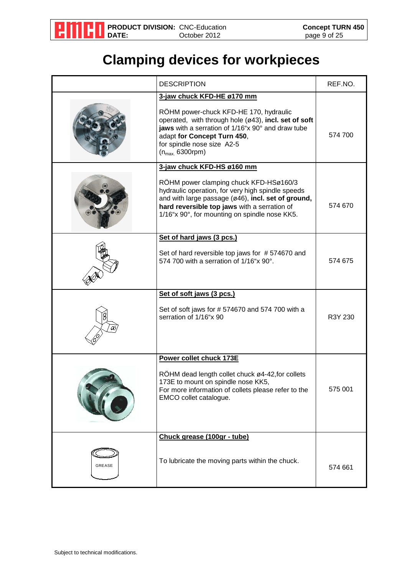

### **Clamping devices for workpieces**

|               | <b>DESCRIPTION</b>                                                                                                                                                                                                                                                               | REF.NO. |
|---------------|----------------------------------------------------------------------------------------------------------------------------------------------------------------------------------------------------------------------------------------------------------------------------------|---------|
|               | 3-jaw chuck KFD-HE ø170 mm<br>RÖHM power-chuck KFD-HE 170, hydraulic<br>operated, with through hole (ø43), incl. set of soft<br>jaws with a serration of 1/16"x 90° and draw tube<br>adapt for Concept Turn 450,<br>for spindle nose size A2-5<br>$(n_{max.} 6300$ rpm $)$       | 574 700 |
|               | 3-jaw chuck KFD-HS ø160 mm<br>RÖHM power clamping chuck KFD-HSø160/3<br>hydraulic operation, for very high spindle speeds<br>and with large passage (ø46), incl. set of ground,<br>hard reversible top jaws with a serration of<br>1/16"x 90°, for mounting on spindle nose KK5. | 574 670 |
|               | Set of hard jaws (3 pcs.)<br>Set of hard reversible top jaws for #574670 and<br>574 700 with a serration of 1/16"x 90°.                                                                                                                                                          | 574 675 |
|               | Set of soft jaws (3 pcs.)<br>Set of soft jaws for #574670 and 574 700 with a<br>serration of 1/16"x 90                                                                                                                                                                           | R3Y 230 |
|               | Power collet chuck 173E<br>RÖHM dead length collet chuck ø4-42, for collets<br>173E to mount on spindle nose KK5,<br>For more information of collets please refer to the<br>EMCO collet catalogue.                                                                               | 575 001 |
| <b>GREASE</b> | Chuck grease (100gr - tube)<br>To lubricate the moving parts within the chuck.                                                                                                                                                                                                   | 574 661 |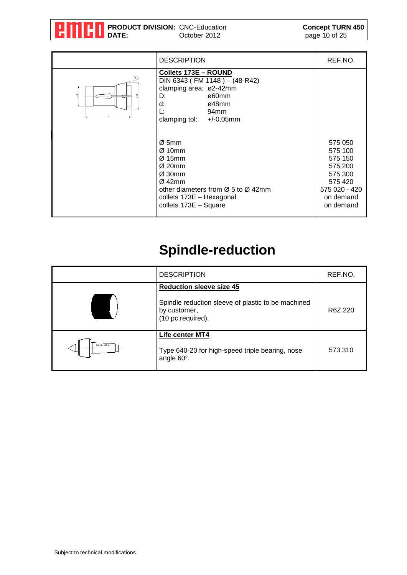

| <b>DESCRIPTION</b>                                                                                                                                                                                                   | REF.NO.                                                                                                   |
|----------------------------------------------------------------------------------------------------------------------------------------------------------------------------------------------------------------------|-----------------------------------------------------------------------------------------------------------|
| <b>Collets 173E - ROUND</b><br>DIN 6343 (FM 1148) - (48-R42)<br>clamping area: ø2-42mm<br>ø60mm<br>D:<br>d:<br>ø48mm<br>Ŀ:<br>94 <sub>mm</sub><br>clamping tol: $+/-0,05$ mm                                         |                                                                                                           |
| $\varnothing$ 5mm<br>$\varnothing$ 10mm<br>$Ø$ 15mm<br>$\varnothing$ 20mm<br>$Ø$ 30mm<br>$Ø$ 42mm<br>other diameters from $\varnothing$ 5 to $\varnothing$ 42mm<br>collets 173E - Hexagonal<br>collets 173E - Square | 575 050<br>575 100<br>575 150<br>575 200<br>575 300<br>575 420<br>575 020 - 420<br>on demand<br>on demand |

### **Spindle-reduction**

|             | <b>DESCRIPTION</b>                                                                                                         | REF.NO. |
|-------------|----------------------------------------------------------------------------------------------------------------------------|---------|
|             | <b>Reduction sleeve size 45</b><br>Spindle reduction sleeve of plastic to be machined<br>by customer,<br>(10 pc.required). | R6Z 220 |
| MK 4 / MT 4 | Life center MT4<br>Type 640-20 for high-speed triple bearing, nose<br>angle 60°.                                           | 573 310 |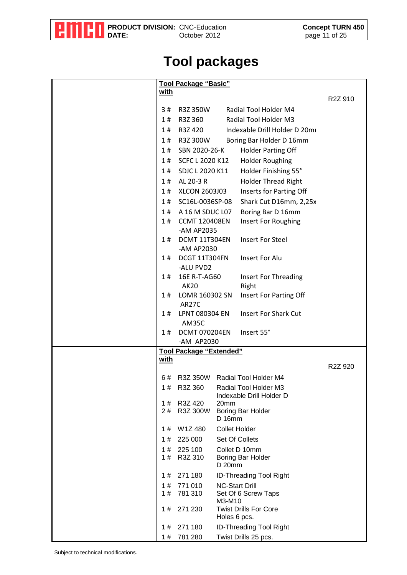

### **Tool packages**

|             | Tool Package "Basic"               |                       |                                                   |                      |
|-------------|------------------------------------|-----------------------|---------------------------------------------------|----------------------|
| <u>with</u> |                                    |                       |                                                   | R2Z 910              |
| 3#          | R3Z 350W                           |                       | Radial Tool Holder M4                             |                      |
| 1#          | R3Z 360                            |                       | Radial Tool Holder M3                             |                      |
| 1#          | R3Z 420                            |                       | Indexable Drill Holder D 20mi                     |                      |
| 1#          | R3Z 300W                           |                       | Boring Bar Holder D 16mm                          |                      |
| 1#          | SBN 2020-26-K                      |                       | <b>Holder Parting Off</b>                         |                      |
| 1#          | SCFC L 2020 K12                    |                       | <b>Holder Roughing</b>                            |                      |
| 1#          | SDJC L 2020 K11                    |                       | Holder Finishing 55°                              |                      |
| 1#          | AL 20-3 R                          |                       | <b>Holder Thread Right</b>                        |                      |
| 1#          | XLCON 2603J03                      |                       | Inserts for Parting Off                           |                      |
| 1#          | SC16L-0036SP-08                    |                       | Shark Cut D16mm, 2,25x                            |                      |
|             | 1# A 16 M SDUC L07                 |                       | Boring Bar D 16mm                                 |                      |
| 1#          | <b>CCMT 120408EN</b>               |                       | Insert For Roughing                               |                      |
|             | -AM AP2035                         |                       |                                                   |                      |
| 1#          | DCMT 11T304EN                      |                       | <b>Insert For Steel</b>                           |                      |
|             | -AM AP2030                         |                       |                                                   |                      |
| 1#          | DCGT 11T304FN                      |                       | <b>Insert For Alu</b>                             |                      |
| 1#          | -ALU PVD2<br>16E R-T-AG60          |                       | Insert For Threading                              |                      |
|             | <b>AK20</b>                        |                       | Right                                             |                      |
| 1#          | LOMR 160302 SN                     |                       | Insert For Parting Off                            |                      |
|             | AR27C                              |                       |                                                   |                      |
| 1#          | LPNT 080304 EN                     |                       | Insert For Shark Cut                              |                      |
|             | AM35C                              |                       |                                                   |                      |
| 1#          | <b>DCMT 070204EN</b><br>-AM AP2030 |                       | Insert 55°                                        |                      |
|             | Tool Package "Extended"            |                       |                                                   |                      |
| <u>with</u> |                                    |                       |                                                   |                      |
|             |                                    |                       |                                                   | R <sub>2</sub> Z 920 |
| 6#          |                                    |                       | R3Z 350W Radial Tool Holder M4                    |                      |
| 1#          | R3Z 360                            |                       | Radial Tool Holder M3<br>Indexable Drill Holder D |                      |
| 1#          | R3Z 420                            | 20mm                  |                                                   |                      |
| 2#          | R3Z 300W                           |                       | Boring Bar Holder                                 |                      |
|             |                                    | $D$ 16 $mm$           |                                                   |                      |
| 1#          | W1Z480                             | <b>Collet Holder</b>  |                                                   |                      |
| 1#          | 225 000                            |                       | Set Of Collets                                    |                      |
| 1#<br>1#    | 225 100<br>R3Z 310                 |                       | Collet D 10mm<br>Boring Bar Holder                |                      |
|             |                                    | D 20mm                |                                                   |                      |
| 1#          | 271 180                            |                       | <b>ID-Threading Tool Right</b>                    |                      |
| 1#          | 771 010                            | <b>NC-Start Drill</b> |                                                   |                      |
| 1#          | 781 310                            | M3-M10                | Set Of 6 Screw Taps                               |                      |
| 1#          | 271 230                            | Holes 6 pcs.          | <b>Twist Drills For Core</b>                      |                      |
| 1#          | 271 180                            |                       | <b>ID-Threading Tool Right</b>                    |                      |
| 1#          | 781 280                            |                       | Twist Drills 25 pcs.                              |                      |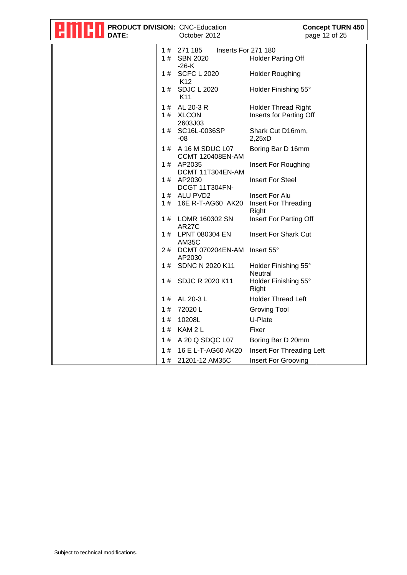| DATE: | PRODUCT DIVISION: CNC-Education<br>October 2012                                                           | <b>Concept TURN 450</b><br>page 12 of 25 |
|-------|-----------------------------------------------------------------------------------------------------------|------------------------------------------|
|       | 271 185<br>Inserts For 271 180<br>1#<br><b>SBN 2020</b><br>1#<br><b>Holder Parting Off</b><br>$-26-K$     |                                          |
|       | <b>SCFC L 2020</b><br>1#<br><b>Holder Roughing</b><br>K <sub>12</sub>                                     |                                          |
|       | <b>SDJC L 2020</b><br>Holder Finishing 55°<br>1#<br>K <sub>11</sub>                                       |                                          |
|       | AL 20-3 R<br><b>Holder Thread Right</b><br>1#<br><b>XLCON</b><br>Inserts for Parting Off<br>1#<br>2603J03 |                                          |
|       | SC16L-0036SP<br>Shark Cut D16mm,<br>1#<br>$-08$<br>2,25xD                                                 |                                          |
|       | A 16 M SDUC L07<br>Boring Bar D 16mm<br>1#<br><b>CCMT 120408EN-AM</b>                                     |                                          |
|       | AP2035<br>Insert For Roughing<br>1#<br>DCMT 11T304EN-AM                                                   |                                          |
|       | <b>Insert For Steel</b><br>AP2030<br>1#<br>DCGT 11T304FN-                                                 |                                          |
|       | ALU PVD2<br>1#<br>Insert For Alu<br>16E R-T-AG60 AK20<br>1#<br>Insert For Threading<br>Right              |                                          |
|       | Insert For Parting Off<br>LOMR 160302 SN<br>1#<br><b>AR27C</b>                                            |                                          |
|       | LPNT 080304 EN<br>Insert For Shark Cut<br>1#<br>AM35C                                                     |                                          |
|       | DCMT 070204EN-AM<br>2#<br>Insert 55°<br>AP2030                                                            |                                          |
|       | SDNC N 2020 K11<br>Holder Finishing 55°<br>1#<br>Neutral                                                  |                                          |
|       | SDJC R 2020 K11<br>1#<br>Holder Finishing 55°<br>Right                                                    |                                          |
|       | <b>Holder Thread Left</b><br>AL 20-3 L<br>1#                                                              |                                          |
|       | 72020L<br><b>Groving Tool</b><br>1#                                                                       |                                          |
|       | 10208L<br>U-Plate<br>1#                                                                                   |                                          |
|       | KAM <sub>2</sub> L<br>1#<br>Fixer                                                                         |                                          |
|       | A 20 Q SDQC L07<br>Boring Bar D 20mm<br>1#                                                                |                                          |
|       | 16 E L-T-AG60 AK20<br>1#                                                                                  | Insert For Threading Left                |
|       | Insert For Grooving<br>1#<br>21201-12 AM35C                                                               |                                          |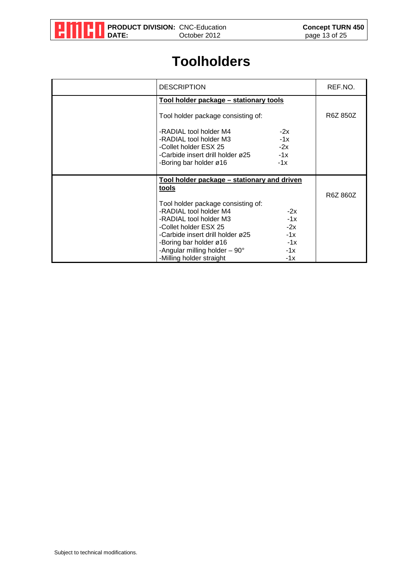

#### **Toolholders**

| <b>DESCRIPTION</b>                                                                                                                                                                   | REF.NO.  |
|--------------------------------------------------------------------------------------------------------------------------------------------------------------------------------------|----------|
| Tool holder package - stationary tools                                                                                                                                               |          |
| Tool holder package consisting of:                                                                                                                                                   | R6Z 850Z |
| -RADIAL tool holder M4<br>$-2x$<br>$-1x$<br>-RADIAL tool holder M3<br>$-2x$<br>-Collet holder ESX 25<br>$-1x$<br>-Carbide insert drill holder ø25<br>$-1x$<br>-Boring bar holder ø16 |          |
| Tool holder package - stationary and driven                                                                                                                                          |          |
| tools                                                                                                                                                                                | R6Z 860Z |
| Tool holder package consisting of:                                                                                                                                                   |          |
| -RADIAL tool holder M4<br>$-2x$                                                                                                                                                      |          |
| $-1x$<br>-RADIAL tool holder M3<br>-Collet holder ESX 25<br>$-2x$                                                                                                                    |          |
| $-1x$<br>-Carbide insert drill holder ø25                                                                                                                                            |          |
| $-1x$<br>-Boring bar holder ø16                                                                                                                                                      |          |
| -Angular milling holder $-90^\circ$<br>$-1x$<br>-Milling holder straight<br>$-1x$                                                                                                    |          |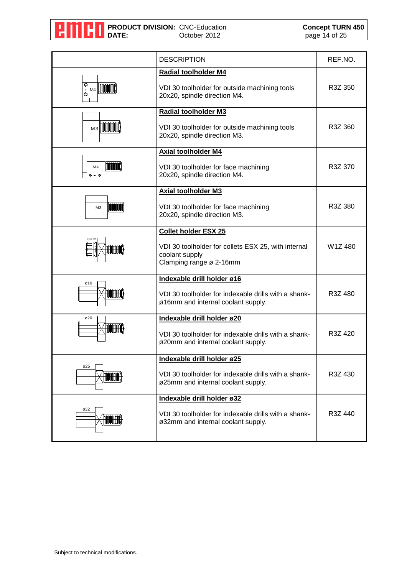

|                                                       | <b>DESCRIPTION</b>                                                                                                              | REF.NO. |
|-------------------------------------------------------|---------------------------------------------------------------------------------------------------------------------------------|---------|
| O<br><b>TANANAN</b><br>MA<br>$\bullet$<br>O           | Radial toolholder M4<br>VDI 30 toolholder for outside machining tools<br>20x20, spindle direction M4.                           | R3Z 350 |
| $M3$ $\text{min}$                                     | <b>Radial toolholder M3</b><br>VDI 30 toolholder for outside machining tools<br>20x20, spindle direction M3.                    | R3Z 360 |
| $ \mathbb{M}\mathbb{M}\mathbb{M}\rangle$<br>M4<br>000 | <b>Axial toolholder M4</b><br>VDI 30 toolholder for face machining<br>20x20, spindle direction M4.                              | R3Z 370 |
| <b>MMM</b><br>M <sub>3</sub>                          | <b>Axial toolholder M3</b><br>VDI 30 toolholder for face machining<br>20x20, spindle direction M3.                              | R3Z 380 |
| <b>ESX 25</b><br><b>MMMM</b>                          | <b>Collet holder ESX 25</b><br>VDI 30 toolholder for collets ESX 25, with internal<br>coolant supply<br>Clamping range ø 2-16mm | W1Z480  |
| ø16<br><b>TANANAN</b>                                 | Indexable drill holder ø16<br>VDI 30 toolholder for indexable drills with a shank-<br>ø16mm and internal coolant supply.        | R3Z 480 |
| ø20<br><b>MANIMARY</b>                                | Indexable drill holder ø20<br>VDI 30 toolholder for indexable drills with a shank-<br>ø20mm and internal coolant supply.        | R3Z 420 |
| ø25<br>HUHUH                                          | Indexable drill holder ø25<br>VDI 30 toolholder for indexable drills with a shank-<br>ø25mm and internal coolant supply.        | R3Z 430 |
| ø32<br>HUMU                                           | Indexable drill holder ø32<br>VDI 30 toolholder for indexable drills with a shank-<br>ø32mm and internal coolant supply.        | R3Z 440 |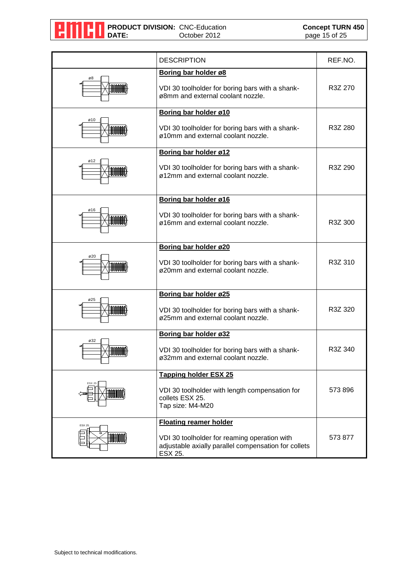

|                            | <b>DESCRIPTION</b>                                                                                                                               | REF.NO. |
|----------------------------|--------------------------------------------------------------------------------------------------------------------------------------------------|---------|
| ø8<br><b>MANIKA</b>        | Boring bar holder ø8<br>VDI 30 toolholder for boring bars with a shank-<br>ø8mm and external coolant nozzle.                                     | R3Z 270 |
| ø10<br><b>TIMER</b>        | Boring bar holder ø10<br>VDI 30 toolholder for boring bars with a shank-<br>ø10mm and external coolant nozzle.                                   | R3Z 280 |
| ø12<br><b>MANAH JARAH</b>  | Boring bar holder ø12<br>VDI 30 toolholder for boring bars with a shank-<br>ø12mm and external coolant nozzle.                                   | R3Z 290 |
| ø16<br><b>TOOLOGIA</b>     | Boring bar holder ø16<br>VDI 30 toolholder for boring bars with a shank-<br>ø16mm and external coolant nozzle.                                   | R3Z 300 |
| ø20<br><b>MANAH</b>        | Boring bar holder ø20<br>VDI 30 toolholder for boring bars with a shank-<br>ø20mm and external coolant nozzle.                                   | R3Z 310 |
| ø25<br><b>LOODOODIA</b>    | Boring bar holder ø25<br>VDI 30 toolholder for boring bars with a shank-<br>ø25mm and external coolant nozzle.                                   | R3Z 320 |
| ø32<br><b>MMM</b>          | Boring bar holder ø32<br>VDI 30 toolholder for boring bars with a shank-<br>ø32mm and external coolant nozzle.                                   | R3Z 340 |
| <b>ESX 25</b><br>HHMM      | <b>Tapping holder ESX 25</b><br>VDI 30 toolholder with length compensation for<br>collets ESX 25.<br>Tap size: M4-M20                            | 573 896 |
| <b>ESX 25</b><br>$\ket{1}$ | <b>Floating reamer holder</b><br>VDI 30 toolholder for reaming operation with<br>adjustable axially parallel compensation for collets<br>ESX 25. | 573 877 |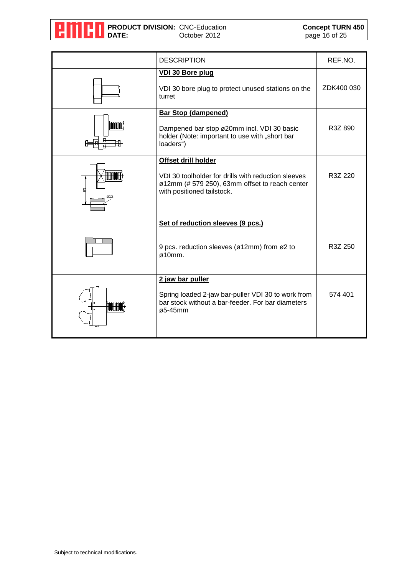

|                             | <b>DESCRIPTION</b>                                                                                                                                         | REF.NO.    |
|-----------------------------|------------------------------------------------------------------------------------------------------------------------------------------------------------|------------|
|                             | <b>VDI 30 Bore plug</b><br>VDI 30 bore plug to protect unused stations on the<br>turret                                                                    | ZDK400 030 |
| $\mathbb{M}(\mathbb{N})$    | <b>Bar Stop (dampened)</b><br>Dampened bar stop ø20mm incl. VDI 30 basic<br>holder (Note: important to use with "short bar<br>loaders")                    | R3Z 890    |
| <b>TITULIU</b><br>ಚಿ<br>012 | Offset drill holder<br>VDI 30 toolholder for drills with reduction sleeves<br>ø12mm (# 579 250), 63mm offset to reach center<br>with positioned tailstock. | R3Z 220    |
|                             | Set of reduction sleeves (9 pcs.)<br>9 pcs. reduction sleeves (ø12mm) from ø2 to<br>$\varphi$ 10mm.                                                        | R3Z 250    |
|                             | 2 jaw bar puller<br>Spring loaded 2-jaw bar-puller VDI 30 to work from<br>bar stock without a bar-feeder. For bar diameters<br>ø5-45mm                     | 574 401    |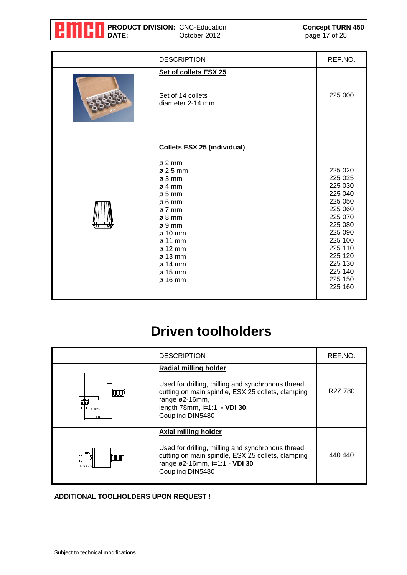|  | <b>GILLL</b> DATE: | <b>THE PRODUCT DIVISION: CNC-Education</b> | October 2012 | <b>Concept TURN 450</b><br>page 17 of 25 |
|--|--------------------|--------------------------------------------|--------------|------------------------------------------|
|--|--------------------|--------------------------------------------|--------------|------------------------------------------|

| <b>DESCRIPTION</b>                                                                                                                                                                                                                                                                                        | REF.NO.                                                                                                                                                                      |
|-----------------------------------------------------------------------------------------------------------------------------------------------------------------------------------------------------------------------------------------------------------------------------------------------------------|------------------------------------------------------------------------------------------------------------------------------------------------------------------------------|
| Set of collets ESX 25<br>Set of 14 collets<br>diameter 2-14 mm                                                                                                                                                                                                                                            | 225 000                                                                                                                                                                      |
| <b>Collets ESX 25 (individual)</b><br>$\varnothing$ 2 mm<br>$\varnothing$ 2,5 mm<br>$\varnothing$ 3 mm<br>$\varnothing$ 4 mm<br>$\varnothing$ 5 mm<br>$\varnothing$ 6 mm<br>$\varnothing$ 7 mm<br>$\varnothing$ 8 mm<br>ø9mm<br>ø 10 mm<br>ø 11 mm<br>ø 12 mm<br>ø 13 mm<br>ø 14 mm<br>ø 15 mm<br>ø 16 mm | 225 020<br>225 025<br>225 030<br>225 040<br>225 050<br>225 060<br>225 070<br>225 080<br>225 090<br>225 100<br>225 110<br>225 120<br>225 130<br>225 140<br>225 150<br>225 160 |

### **Driven toolholders**

|              | <b>DESCRIPTION</b>                                                                                                                                                                                           | REF.NO.              |
|--------------|--------------------------------------------------------------------------------------------------------------------------------------------------------------------------------------------------------------|----------------------|
| $\psi$ ESX25 | <b>Radial milling holder</b><br>Used for drilling, milling and synchronous thread<br>cutting on main spindle, ESX 25 collets, clamping<br>range ø2-16mm,<br>length 78mm, i=1:1 - VDI 30.<br>Coupling DIN5480 | R <sub>2</sub> Z 780 |
| <b>FSX</b>   | <b>Axial milling holder</b><br>Used for drilling, milling and synchronous thread<br>cutting on main spindle, ESX 25 collets, clamping<br>range ø2-16mm, i=1:1 - VDI 30<br>Coupling DIN5480                   | 440 440              |

#### **ADDITIONAL TOOLHOLDERS UPON REQUEST !**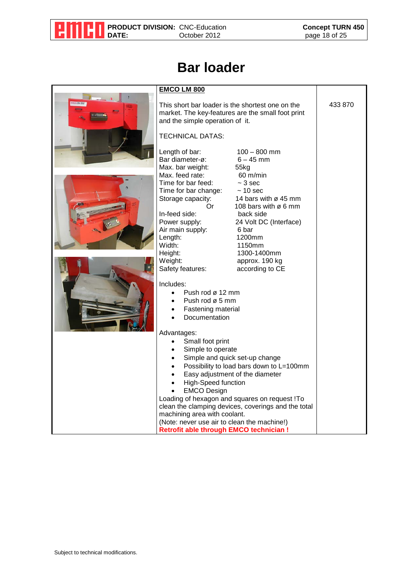

### **Bar loader**

| <b>TECHNICAL DATAS:</b>                                                                                                                                                                                       |                                                                                                                                                                                                                         | 433 870                                                                                                                                                                                                                                                                                                                                                                                                                                                                                                                                                                                        |
|---------------------------------------------------------------------------------------------------------------------------------------------------------------------------------------------------------------|-------------------------------------------------------------------------------------------------------------------------------------------------------------------------------------------------------------------------|------------------------------------------------------------------------------------------------------------------------------------------------------------------------------------------------------------------------------------------------------------------------------------------------------------------------------------------------------------------------------------------------------------------------------------------------------------------------------------------------------------------------------------------------------------------------------------------------|
| Bar diameter-ø:                                                                                                                                                                                               | $6 - 45$ mm                                                                                                                                                                                                             |                                                                                                                                                                                                                                                                                                                                                                                                                                                                                                                                                                                                |
| Max. bar weight:                                                                                                                                                                                              | 55kg                                                                                                                                                                                                                    |                                                                                                                                                                                                                                                                                                                                                                                                                                                                                                                                                                                                |
| Max. feed rate:<br>Time for bar feed:<br>Time for bar change:<br>Storage capacity:<br>0r<br>In-feed side:<br>Power supply:<br>Air main supply:<br>Length:<br>Width:<br>Height:<br>Weight:<br>Safety features: | 60 m/min<br>$~5$ 3 sec<br>$~10$ sec<br>14 bars with $\varnothing$ 45 mm<br>108 bars with ø 6 mm<br>back side<br>24 Volt DC (Interface)<br>6 bar<br>1200mm<br>1150mm<br>1300-1400mm<br>approx. 190 kg<br>according to CE |                                                                                                                                                                                                                                                                                                                                                                                                                                                                                                                                                                                                |
| Includes:<br>$\bullet$<br>Documentation                                                                                                                                                                       |                                                                                                                                                                                                                         |                                                                                                                                                                                                                                                                                                                                                                                                                                                                                                                                                                                                |
| Advantages:                                                                                                                                                                                                   |                                                                                                                                                                                                                         |                                                                                                                                                                                                                                                                                                                                                                                                                                                                                                                                                                                                |
|                                                                                                                                                                                                               |                                                                                                                                                                                                                         |                                                                                                                                                                                                                                                                                                                                                                                                                                                                                                                                                                                                |
|                                                                                                                                                                                                               |                                                                                                                                                                                                                         |                                                                                                                                                                                                                                                                                                                                                                                                                                                                                                                                                                                                |
|                                                                                                                                                                                                               |                                                                                                                                                                                                                         |                                                                                                                                                                                                                                                                                                                                                                                                                                                                                                                                                                                                |
|                                                                                                                                                                                                               |                                                                                                                                                                                                                         |                                                                                                                                                                                                                                                                                                                                                                                                                                                                                                                                                                                                |
|                                                                                                                                                                                                               |                                                                                                                                                                                                                         |                                                                                                                                                                                                                                                                                                                                                                                                                                                                                                                                                                                                |
|                                                                                                                                                                                                               |                                                                                                                                                                                                                         |                                                                                                                                                                                                                                                                                                                                                                                                                                                                                                                                                                                                |
|                                                                                                                                                                                                               |                                                                                                                                                                                                                         |                                                                                                                                                                                                                                                                                                                                                                                                                                                                                                                                                                                                |
|                                                                                                                                                                                                               |                                                                                                                                                                                                                         |                                                                                                                                                                                                                                                                                                                                                                                                                                                                                                                                                                                                |
|                                                                                                                                                                                                               |                                                                                                                                                                                                                         |                                                                                                                                                                                                                                                                                                                                                                                                                                                                                                                                                                                                |
|                                                                                                                                                                                                               | <b>EMCO LM 800</b><br>Length of bar:<br>Small foot print<br><b>EMCO Design</b>                                                                                                                                          | This short bar loader is the shortest one on the<br>market. The key-features are the small foot print<br>and the simple operation of it.<br>$100 - 800$ mm<br>Push rod ø 12 mm<br>Push rod $\varnothing$ 5 mm<br>Fastening material<br>Simple to operate<br>Simple and quick set-up change<br>Possibility to load bars down to L=100mm<br>Easy adjustment of the diameter<br><b>High-Speed function</b><br>Loading of hexagon and squares on request !To<br>clean the clamping devices, coverings and the total<br>machining area with coolant.<br>(Note: never use air to clean the machine!) |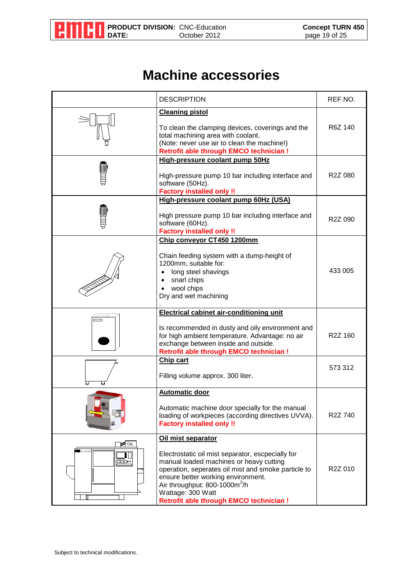

### **Machine accessories**

| <b>DESCRIPTION</b>                                                          |                                                                                                                                                                                                                                                                                                                                    | REF.NO.              |
|-----------------------------------------------------------------------------|------------------------------------------------------------------------------------------------------------------------------------------------------------------------------------------------------------------------------------------------------------------------------------------------------------------------------------|----------------------|
|                                                                             | <b>Cleaning pistol</b><br>To clean the clamping devices, coverings and the<br>total machining area with coolant.<br>(Note: never use air to clean the machine!)<br><b>Retrofit able through EMCO technician!</b>                                                                                                                   | R6Z 140              |
|                                                                             | High-pressure coolant pump 50Hz<br>High-pressure pump 10 bar including interface and<br>software (50Hz).<br><b>Factory installed only !!</b>                                                                                                                                                                                       | R2Z 080              |
|                                                                             | High-pressure coolant pump 60Hz (USA)<br>High pressure pump 10 bar including interface and<br>software (60Hz).<br><b>Factory installed only !!</b>                                                                                                                                                                                 | R <sub>2</sub> Z 090 |
|                                                                             | Chip conveyor CT450 1200mm<br>Chain feeding system with a dump-height of<br>1200mm, suitable for:<br>long steel shavings<br>snarl chips<br>wool chips<br>Dry and wet machining                                                                                                                                                     | 433 005              |
|                                                                             | <b>Electrical cabinet air-conditioning unit</b><br>Is recommended in dusty and oily environment and<br>for high ambient temperature. Advantage: no air<br>exchange between inside and outside.<br><b>Retrofit able through EMCO technician!</b>                                                                                    | R2Z 160              |
|                                                                             | Chip cart<br>Filling volume approx. 300 liter.                                                                                                                                                                                                                                                                                     | 573 312              |
|                                                                             | <b>Automatic door</b><br>Automatic machine door specially for the manual<br>loading of workpieces (according directives UVVA).<br><b>Factory installed only!!</b>                                                                                                                                                                  | R <sub>2</sub> Z 740 |
| 画OIL<br>turn 332<br>$\overline{\mathbf{r}}$<br>$\Box\Box\Box^\diamond\circ$ | Oil mist separator<br>Electrostatic oil mist separator, escpecially for<br>manual loaded machines or heavy cutting<br>operation, seperates oil mist and smoke particle to<br>ensure better working environment.<br>Air throughput: 800-1000m <sup>3</sup> /h<br>Wattage: 300 Watt<br><b>Retrofit able through EMCO technician!</b> | R2Z 010              |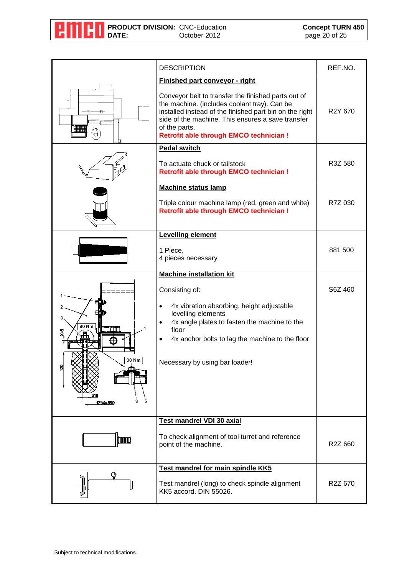

|                                                      | <b>DESCRIPTION</b>                                                                                                                                                                                                                                                                                                             | REF.NO. |
|------------------------------------------------------|--------------------------------------------------------------------------------------------------------------------------------------------------------------------------------------------------------------------------------------------------------------------------------------------------------------------------------|---------|
| 毌                                                    | <b>Finished part conveyor - right</b><br>Conveyor belt to transfer the finished parts out of<br>the machine. (includes coolant tray). Can be<br>installed instead of the finished part bin on the right<br>side of the machine. This ensures a save transfer<br>of the parts.<br><b>Retrofit able through EMCO technician!</b> | R2Y 670 |
|                                                      | <b>Pedal switch</b><br>To actuate chuck or tailstock<br><b>Retrofit able through EMCO technician!</b>                                                                                                                                                                                                                          | R3Z 580 |
|                                                      | <b>Machine status lamp</b><br>Triple colour machine lamp (red, green and white)<br><b>Retrofit able through EMCO technician!</b>                                                                                                                                                                                               | R7Z 030 |
|                                                      | Levelling element<br>1 Piece,<br>4 pieces necessary                                                                                                                                                                                                                                                                            | 881 500 |
| 3<br>80 Nm<br>mт<br>≞<br>30 Nm<br>힙<br>5<br>1754x890 | <b>Machine installation kit</b><br>Consisting of:<br>4x vibration absorbing, height adjustable<br>levelling elements<br>4x angle plates to fasten the machine to the<br>floor<br>4x anchor bolts to lag the machine to the floor<br>Necessary by using bar loader!                                                             | S6Z 460 |
| [IIIIIII]                                            | Test mandrel VDI 30 axial<br>To check alignment of tool turret and reference<br>point of the machine.                                                                                                                                                                                                                          | R2Z 660 |
|                                                      | Test mandrel for main spindle KK5<br>Test mandrel (long) to check spindle alignment<br>KK5 accord. DIN 55026.                                                                                                                                                                                                                  | R2Z 670 |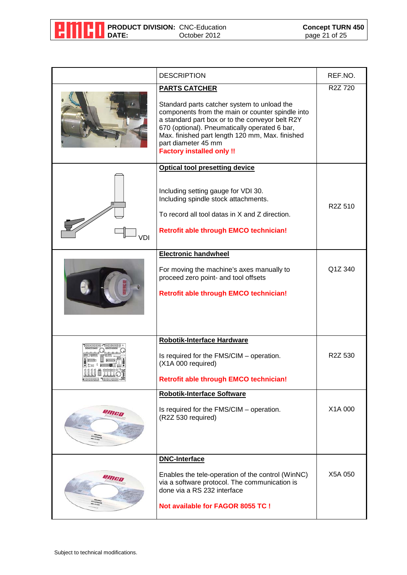

|                                                          | <b>DESCRIPTION</b>                                                                                                                                                                                                          | REF.NO.              |
|----------------------------------------------------------|-----------------------------------------------------------------------------------------------------------------------------------------------------------------------------------------------------------------------------|----------------------|
|                                                          | <b>PARTS CATCHER</b><br>Standard parts catcher system to unload the<br>components from the main or counter spindle into<br>a standard part box or to the conveyor belt R2Y<br>670 (optional). Pneumatically operated 6 bar, | R <sub>2</sub> Z 720 |
|                                                          | Max. finished part length 120 mm, Max. finished<br>part diameter 45 mm<br><b>Factory installed only !!</b>                                                                                                                  |                      |
|                                                          | <b>Optical tool presetting device</b><br>Including setting gauge for VDI 30.                                                                                                                                                |                      |
|                                                          | Including spindle stock attachments.<br>To record all tool datas in X and Z direction.                                                                                                                                      | R <sub>2</sub> Z 510 |
| VDI                                                      | <b>Retrofit able through EMCO technician!</b>                                                                                                                                                                               |                      |
|                                                          | <b>Electronic handwheel</b><br>For moving the machine's axes manually to                                                                                                                                                    | Q1Z 340              |
|                                                          | proceed zero point- and tool offsets<br><b>Retrofit able through EMCO technician!</b>                                                                                                                                       |                      |
|                                                          |                                                                                                                                                                                                                             |                      |
|                                                          | Robotik-Interface Hardware                                                                                                                                                                                                  |                      |
| $2$ $\times$ $0$ $\times$ $\times$<br>$9999$ manufacture | Is required for the FMS/CIM - operation.<br>(X1A 000 required)                                                                                                                                                              | R <sub>2</sub> Z 530 |
| <b>FREEDER TOURDED</b> OF                                | <b>Retrofit able through EMCO technician!</b>                                                                                                                                                                               |                      |
|                                                          | <b>Robotik-Interface Software</b>                                                                                                                                                                                           |                      |
| emcu                                                     | Is required for the FMS/CIM - operation.<br>(R2Z 530 required)                                                                                                                                                              | X1A 000              |
|                                                          | <b>DNC-Interface</b>                                                                                                                                                                                                        |                      |
| emeu                                                     | Enables the tele-operation of the control (WinNC)<br>via a software protocol. The communication is<br>done via a RS 232 interface                                                                                           | X5A 050              |
|                                                          | <b>Not available for FAGOR 8055 TC!</b>                                                                                                                                                                                     |                      |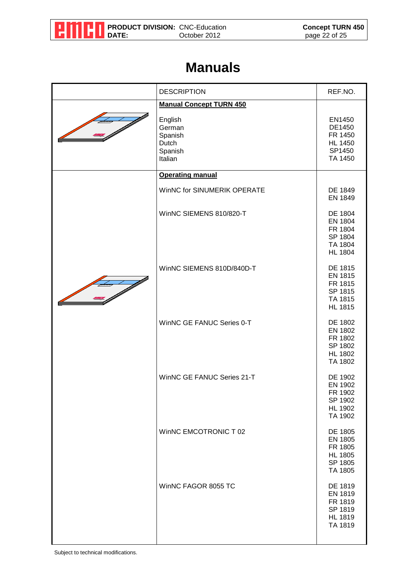

#### **Manuals**

| <b>DESCRIPTION</b>                                          | REF.NO.                                                                      |
|-------------------------------------------------------------|------------------------------------------------------------------------------|
| <b>Manual Concept TURN 450</b>                              |                                                                              |
| English<br>German<br>Spanish<br>Dutch<br>Spanish<br>Italian | EN1450<br>DE1450<br>FR 1450<br><b>HL 1450</b><br>SP1450<br>TA 1450           |
| <b>Operating manual</b>                                     |                                                                              |
| WinNC for SINUMERIK OPERATE                                 | DE 1849<br>EN 1849                                                           |
| WinNC SIEMENS 810/820-T                                     | DE 1804<br><b>EN 1804</b><br>FR 1804<br>SP 1804<br>TA 1804<br><b>HL 1804</b> |
| WinNC SIEMENS 810D/840D-T                                   | DE 1815<br>EN 1815<br>FR 1815<br>SP 1815<br>TA 1815<br><b>HL 1815</b>        |
| WinNC GE FANUC Series 0-T                                   | DE 1802<br><b>EN 1802</b><br>FR 1802<br>SP 1802<br><b>HL 1802</b><br>TA 1802 |
| WinNC GE FANUC Series 21-T                                  | DE 1902<br><b>EN 1902</b><br>FR 1902<br>SP 1902<br><b>HL 1902</b><br>TA 1902 |
| WinNC EMCOTRONIC T 02                                       | DE 1805<br><b>EN 1805</b><br>FR 1805<br><b>HL 1805</b><br>SP 1805<br>TA 1805 |
| WinNC FAGOR 8055 TC                                         | DE 1819<br><b>EN 1819</b><br>FR 1819<br>SP 1819<br><b>HL 1819</b><br>TA 1819 |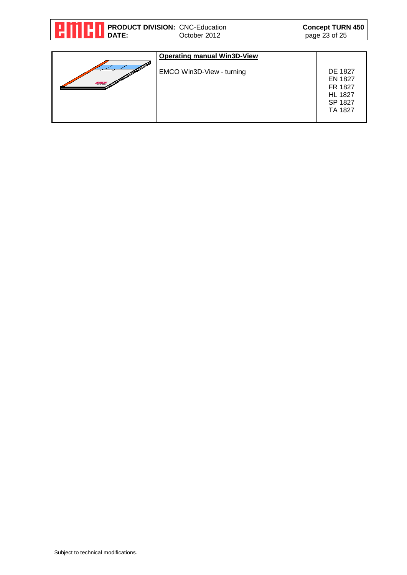| PRODUCT DIVISION: CNC-Education<br>DATE:<br>October 2012 |                                                                 | <b>Concept TURN 450</b><br>page 23 of 25 |
|----------------------------------------------------------|-----------------------------------------------------------------|------------------------------------------|
| <b>Law and Common</b>                                    | <b>Operating manual Win3D-View</b><br>EMCO Win3D-View - turning | <b>DE 1827</b><br><b>EN 1827</b>         |
|                                                          |                                                                 | FR 1827<br><b>LIL 4007</b>               |

FR 1827 HL 1827 SP 1827 TA 1827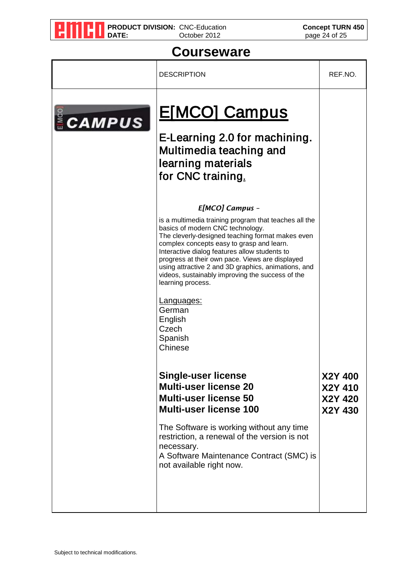

**PRODUCT DIVISION:** CNC-Education **Concept TURN 450 DATE:** October 2012 **page 24 of 25** 

#### **Courseware**

|               | <b>DESCRIPTION</b>                                                                                                                                                                                                                                                                                                                                                                                                                                                                                                  | REF.NO.                                  |
|---------------|---------------------------------------------------------------------------------------------------------------------------------------------------------------------------------------------------------------------------------------------------------------------------------------------------------------------------------------------------------------------------------------------------------------------------------------------------------------------------------------------------------------------|------------------------------------------|
| <b>CAMPUS</b> | <b>E[MCO] Campus</b><br>E-Learning 2.0 for machining.<br>Multimedia teaching and<br>learning materials<br>for CNC training.                                                                                                                                                                                                                                                                                                                                                                                         |                                          |
|               | E[MCO] Campus -<br>is a multimedia training program that teaches all the<br>basics of modern CNC technology.<br>The cleverly-designed teaching format makes even<br>complex concepts easy to grasp and learn.<br>Interactive dialog features allow students to<br>progress at their own pace. Views are displayed<br>using attractive 2 and 3D graphics, animations, and<br>videos, sustainably improving the success of the<br>learning process.<br>Languages:<br>German<br>English<br>Czech<br>Spanish<br>Chinese |                                          |
|               | <b>Single-user license</b><br><b>Multi-user license 20</b><br><b>Multi-user license 50</b><br><b>Multi-user license 100</b><br>The Software is working without any time<br>restriction, a renewal of the version is not<br>necessary.<br>A Software Maintenance Contract (SMC) is<br>not available right now.                                                                                                                                                                                                       | X2Y 400<br>X2Y 410<br>X2Y 420<br>X2Y 430 |